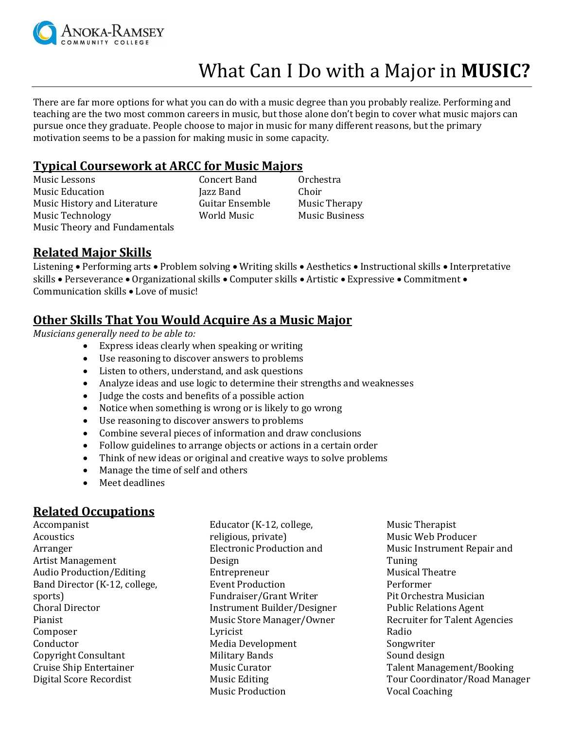

# What Can I Do with a Major in **MUSIC?**

There are far more options for what you can do with a music degree than you probably realize. Performing and teaching are the two most common careers in music, but those alone don't begin to cover what music majors can pursue once they graduate. People choose to major in music for many different reasons, but the primary motivation seems to be a passion for making music in some capacity.

#### **Typical Coursework at ARCC for Music Majors**

Music Lessons Concert Band Orchestra Music Education **Iazz Band** Choir Music History and Literature Guitar Ensemble Music Therapy Music Technology **Music Technology World Music Music Business** Music Theory and Fundamentals

#### **Related Major Skills**

Listening • Performing arts • Problem solving • Writing skills • Aesthetics • Instructional skills • Interpretative skills • Perseverance • Organizational skills • Computer skills • Artistic • Expressive • Commitment • Communication skills Love of music!

### **Other Skills That You Would Acquire As a Music Major**

*Musicians generally need to be able to:*

- Express ideas clearly when speaking or writing
- Use reasoning to discover answers to problems
- Listen to others, understand, and ask questions
- Analyze ideas and use logic to determine their strengths and weaknesses
- Judge the costs and benefits of a possible action
- Notice when something is wrong or is likely to go wrong
- Use reasoning to discover answers to problems
- Combine several pieces of information and draw conclusions
- Follow guidelines to arrange objects or actions in a certain order
- Think of new ideas or original and creative ways to solve problems
- Manage the time of self and others
- Meet deadlines

### **Related Occupations**

Accompanist Acoustics Arranger Artist Management Audio Production/Editing Band Director (K-12, college, sports) Choral Director Pianist Composer Conductor Copyright Consultant Cruise Ship Entertainer Digital Score Recordist

Educator (K-12, college, religious, private) Electronic Production and Design Entrepreneur Event Production Fundraiser/Grant Writer Instrument Builder/Designer Music Store Manager/Owner Lyricist Media Development Military Bands Music Curator Music Editing Music Production

Music Therapist Music Web Producer Music Instrument Repair and Tuning Musical Theatre Performer Pit Orchestra Musician Public Relations Agent Recruiter for Talent Agencies Radio Songwriter Sound design Talent Management/Booking Tour Coordinator/Road Manager Vocal Coaching